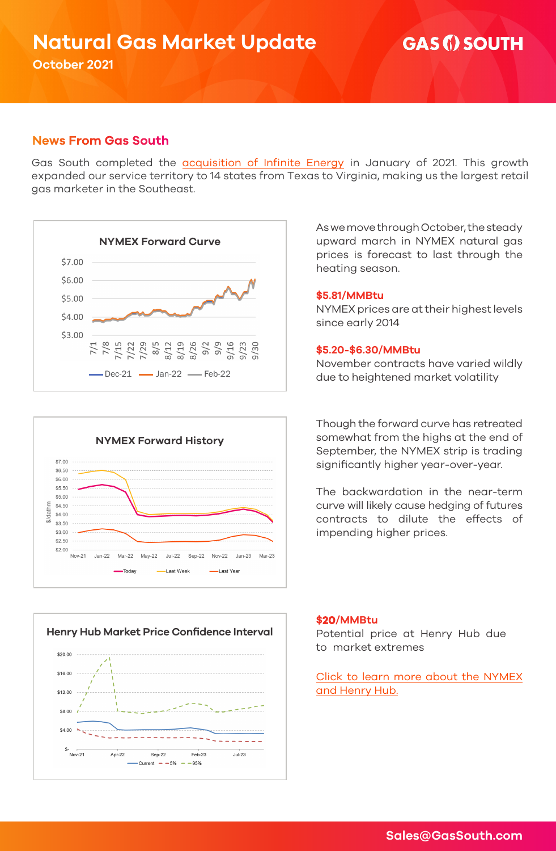# **Natural Gas Market Update**

**October 2021** 

## **GAS (i) SOUTH**

## **News From Gas South**

Gas South completed the [acquisition of Infinite Energy](https://www.gassouth.com/gas-for-business/infinite-energy-acquisition) in January of 2021. This growth expanded our service territory to 14 states from Texas to Virginia, making us the largest retail gas marketer in the Southeast.







As we move through October, the steady upward march in NYMEX natural gas prices is forecast to last through the heating season.

#### **\$5.81/MMBtu**

NYMEX prices are at their highest levels since early 2014

#### **\$5.20-\$6.30/MMBtu**

November contracts have varied wildly due to heightened market volatility

Though the forward curve has retreated somewhat from the highs at the end of September, the NYMEX strip is trading significantly higher year-over-year.

The backwardation in the near-term curve will likely cause hedging of futures contracts to dilute the effects of impending higher prices.

#### **\$20/MMBtu**

Potential price at Henry Hub due to market extremes

[Click to learn more about the NYMEX](https://www.gassouth.com/gas-for-business/nymex)  and Henry Hub.